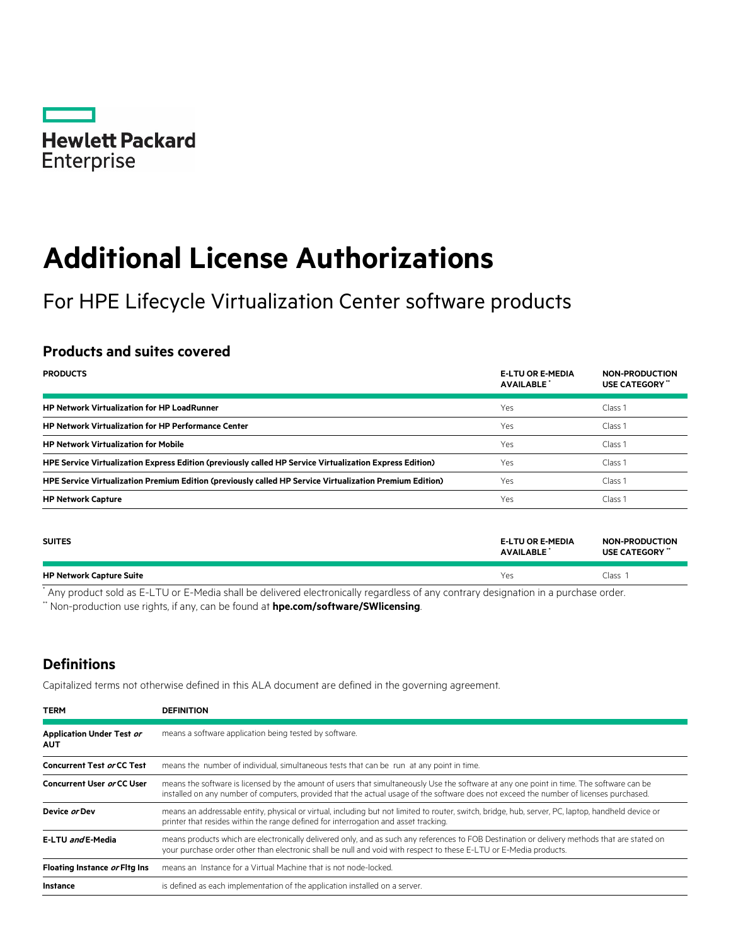

# **Additional License Authorizations**

For HPE Lifecycle Virtualization Center software products

# **Products and suites covered**

| <b>PRODUCTS</b>                                                                                          | <b>E-LTU OR E-MEDIA</b><br><b>AVAILABLE</b> | <b>NON-PRODUCTION</b><br>USE CATEGORY" |
|----------------------------------------------------------------------------------------------------------|---------------------------------------------|----------------------------------------|
| <b>HP Network Virtualization for HP LoadRunner</b>                                                       | Yes                                         | Class 1                                |
| <b>HP Network Virtualization for HP Performance Center</b>                                               | Yes                                         | Class <sub>1</sub>                     |
| <b>HP Network Virtualization for Mobile</b>                                                              | Yes                                         | Class <sub>1</sub>                     |
| HPE Service Virtualization Express Edition (previously called HP Service Virtualization Express Edition) | Yes                                         | Class <sub>1</sub>                     |
| HPE Service Virtualization Premium Edition (previously called HP Service Virtualization Premium Edition) | Yes                                         | Class 1                                |
| <b>HP Network Capture</b>                                                                                | Yes                                         | Class 1                                |

| <b>SUITES</b>                   | <b>E-LTU OR E-MEDIA</b><br><b>AVAILABLE</b> | <b>NON-PRODUCTION</b><br>USE CATEGORY " |
|---------------------------------|---------------------------------------------|-----------------------------------------|
| <b>HP Network Capture Suite</b> | Yes                                         | Class <sup>1</sup>                      |

\* Any product sold as E-LTU or E-Media shall be delivered electronically regardless of any contrary designation in a purchase order. \*\* Non-production use rights, if any, can be found at **[hpe.com/software/SWlicensing](http://www.hpe.com/software/SWlicensing)**.

## **Definitions**

Capitalized terms not otherwise defined in this ALA document are defined in the governing agreement.

| <b>TERM</b>                                    | <b>DEFINITION</b>                                                                                                                                                                                                                                                                  |
|------------------------------------------------|------------------------------------------------------------------------------------------------------------------------------------------------------------------------------------------------------------------------------------------------------------------------------------|
| <b>Application Under Test or</b><br><b>AUT</b> | means a software application being tested by software.                                                                                                                                                                                                                             |
| <b>Concurrent Test or CC Test</b>              | means the number of individual, simultaneous tests that can be run at any point in time.                                                                                                                                                                                           |
| Concurrent User or CC User                     | means the software is licensed by the amount of users that simultaneously Use the software at any one point in time. The software can be<br>installed on any number of computers, provided that the actual usage of the software does not exceed the number of licenses purchased. |
| Device or Dev                                  | means an addressable entity, physical or virtual, including but not limited to router, switch, bridge, hub, server, PC, laptop, handheld device or<br>printer that resides within the range defined for interrogation and asset tracking.                                          |
| E-LTU and E-Media                              | means products which are electronically delivered only, and as such any references to FOB Destination or delivery methods that are stated on<br>your purchase order other than electronic shall be null and void with respect to these E-LTU or E-Media products.                  |
| Floating Instance or Fitg Ins                  | means an Instance for a Virtual Machine that is not node-locked.                                                                                                                                                                                                                   |
| <b>Instance</b>                                | is defined as each implementation of the application installed on a server.                                                                                                                                                                                                        |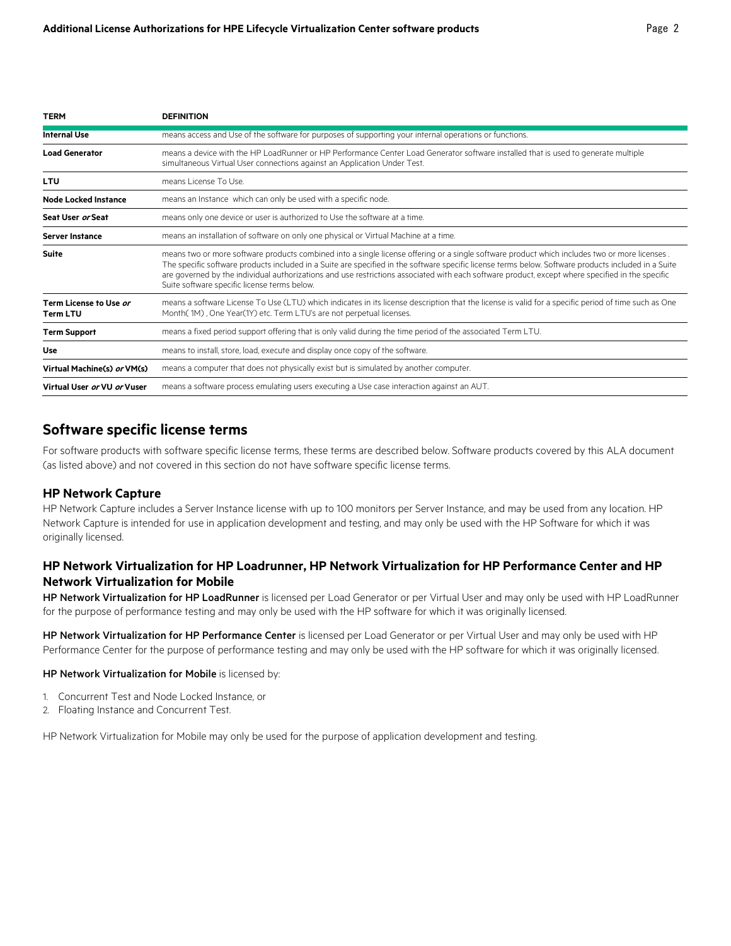| <b>TERM</b>                               | <b>DEFINITION</b>                                                                                                                                                                                                                                                                                                                                                                                                                                                                                         |
|-------------------------------------------|-----------------------------------------------------------------------------------------------------------------------------------------------------------------------------------------------------------------------------------------------------------------------------------------------------------------------------------------------------------------------------------------------------------------------------------------------------------------------------------------------------------|
| <b>Internal Use</b>                       | means access and Use of the software for purposes of supporting your internal operations or functions.                                                                                                                                                                                                                                                                                                                                                                                                    |
| <b>Load Generator</b>                     | means a device with the HP LoadRunner or HP Performance Center Load Generator software installed that is used to generate multiple<br>simultaneous Virtual User connections against an Application Under Test.                                                                                                                                                                                                                                                                                            |
| LTU                                       | means License To Use.                                                                                                                                                                                                                                                                                                                                                                                                                                                                                     |
| <b>Node Locked Instance</b>               | means an Instance which can only be used with a specific node.                                                                                                                                                                                                                                                                                                                                                                                                                                            |
| Seat User or Seat                         | means only one device or user is authorized to Use the software at a time.                                                                                                                                                                                                                                                                                                                                                                                                                                |
| <b>Server Instance</b>                    | means an installation of software on only one physical or Virtual Machine at a time.                                                                                                                                                                                                                                                                                                                                                                                                                      |
| <b>Suite</b>                              | means two or more software products combined into a single license offering or a single software product which includes two or more licenses.<br>The specific software products included in a Suite are specified in the software specific license terms below. Software products included in a Suite<br>are governed by the individual authorizations and use restrictions associated with each software product, except where specified in the specific<br>Suite software specific license terms below. |
| Term License to Use or<br><b>Term LTU</b> | means a software License To Use (LTU) which indicates in its license description that the license is valid for a specific period of time such as One<br>Month(1M), One Year(1Y) etc. Term LTU's are not perpetual licenses.                                                                                                                                                                                                                                                                               |
| <b>Term Support</b>                       | means a fixed period support offering that is only valid during the time period of the associated Term LTU.                                                                                                                                                                                                                                                                                                                                                                                               |
| Use                                       | means to install, store, load, execute and display once copy of the software.                                                                                                                                                                                                                                                                                                                                                                                                                             |
| Virtual Machine(s) or VM(s)               | means a computer that does not physically exist but is simulated by another computer.                                                                                                                                                                                                                                                                                                                                                                                                                     |
| Virtual User or VU or Vuser               | means a software process emulating users executing a Use case interaction against an AUT.                                                                                                                                                                                                                                                                                                                                                                                                                 |

## **Software specific license terms**

For software products with software specific license terms, these terms are described below. Software products covered by this ALA document (as listed above) and not covered in this section do not have software specific license terms.

#### **HP Network Capture**

HP Network Capture includes a Server Instance license with up to 100 monitors per Server Instance, and may be used from any location. HP Network Capture is intended for use in application development and testing, and may only be used with the HP Software for which it was originally licensed.

## **HP Network Virtualization for HP Loadrunner, HP Network Virtualization for HP Performance Center and HP Network Virtualization for Mobile**

HP Network Virtualization for HP LoadRunner is licensed per Load Generator or per Virtual User and may only be used with HP LoadRunner for the purpose of performance testing and may only be used with the HP software for which it was originally licensed.

HP Network Virtualization for HP Performance Center is licensed per Load Generator or per Virtual User and may only be used with HP Performance Center for the purpose of performance testing and may only be used with the HP software for which it was originally licensed.

#### HP Network Virtualization for Mobile is licensed by:

- 1. Concurrent Test and Node Locked Instance, or
- 2. Floating Instance and Concurrent Test.

HP Network Virtualization for Mobile may only be used for the purpose of application development and testing.